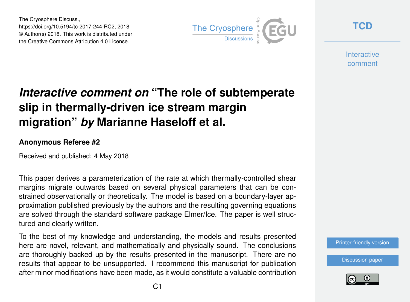The Cryosphere Discuss., https://doi.org/10.5194/tc-2017-244-RC2, 2018 © Author(s) 2018. This work is distributed under the Creative Commons Attribution 4.0 License.



**[TCD](https://www.the-cryosphere-discuss.net/)**

**Interactive** comment

## *Interactive comment on* **"The role of subtemperate slip in thermally-driven ice stream margin migration"** *by* **Marianne Haseloff et al.**

## **Anonymous Referee #2**

Received and published: 4 May 2018

This paper derives a parameterization of the rate at which thermally-controlled shear margins migrate outwards based on several physical parameters that can be constrained observationally or theoretically. The model is based on a boundary-layer approximation published previously by the authors and the resulting governing equations are solved through the standard software package Elmer/Ice. The paper is well structured and clearly written.

To the best of my knowledge and understanding, the models and results presented here are novel, relevant, and mathematically and physically sound. The conclusions are thoroughly backed up by the results presented in the manuscript. There are no results that appear to be unsupported. I recommend this manuscript for publication after minor modifications have been made, as it would constitute a valuable contribution

[Printer-friendly version](https://www.the-cryosphere-discuss.net/tc-2017-244/tc-2017-244-RC2-print.pdf)

[Discussion paper](https://www.the-cryosphere-discuss.net/tc-2017-244)

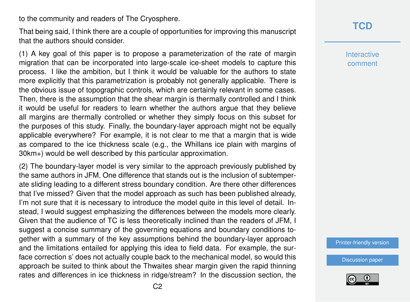to the community and readers of The Cryosphere.

That being said, I think there are a couple of opportunities for improving this manuscript that the authors should consider.

(1) A key goal of this paper is to propose a parameterization of the rate of margin migration that can be incorporated into large-scale ice-sheet models to capture this process. I like the ambition, but I think it would be valuable for the authors to state more explicitly that this parametrization is probably not generally applicable. There is the obvious issue of topographic controls, which are certainly relevant in some cases. Then, there is the assumption that the shear margin is thermally controlled and I think it would be useful for readers to learn whether the authors argue that they believe all margins are thermally controlled or whether they simply focus on this subset for the purposes of this study. Finally, the boundary-layer approach might not be equally applicable everywhere? For example, it is not clear to me that a margin that is wide as compared to the ice thickness scale (e.g., the Whillans ice plain with margins of 30km+) would be well described by this particular approximation.

(2) The boundary-layer model is very similar to the approach previously published by the same authors in JFM. One difference that stands out is the inclusion of subtemperate sliding leading to a different stress boundary condition. Are there other differences that I've missed? Given that the model approach as such has been published already, I'm not sure that it is necessary to introduce the model quite in this level of detail. Instead. I would suggest emphasizing the differences between the models more clearly. Given that the audience of TC is less theoretically inclined than the readers of JFM, I suggest a concise summary of the governing equations and boundary conditions together with a summary of the key assumptions behind the boundary-layer approach and the limitations entailed for applying this idea to field data. For example, the surface correction s' does not actually couple back to the mechanical model, so would this approach be suited to think about the Thwaites shear margin given the rapid thinning rates and differences in ice thickness in ridge/stream? In the discussion section, the **Interactive** comment

[Printer-friendly version](https://www.the-cryosphere-discuss.net/tc-2017-244/tc-2017-244-RC2-print.pdf)

[Discussion paper](https://www.the-cryosphere-discuss.net/tc-2017-244)